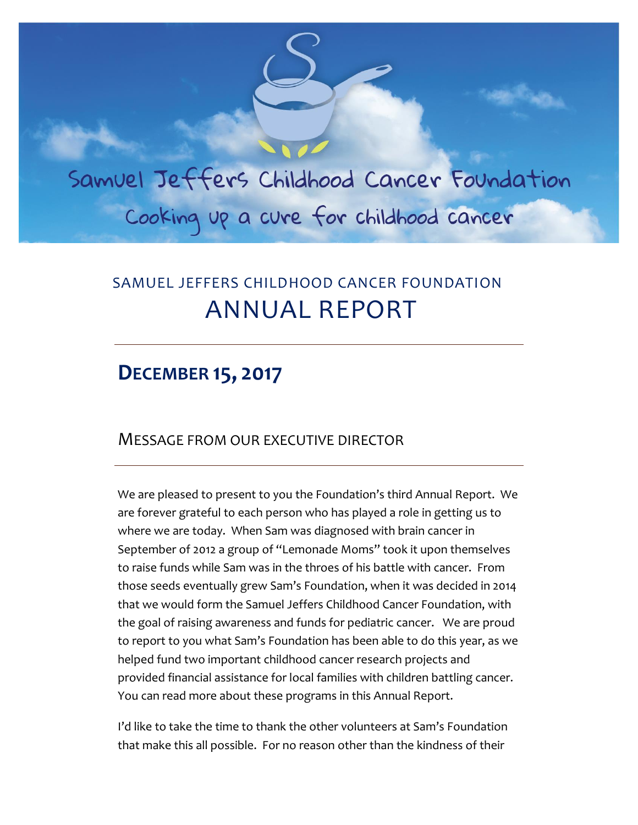Samuel Jeffers Childhood Cancer Foundation Cooking up a cure for childhood cancer

# SAMUEL JEFFERS CHILDHOOD CANCER FOUNDATION ANNUAL REPORT

### **DECEMBER 15, 2017**

#### MESSAGE FROM OUR EXECUTIVE DIRECTOR

We are pleased to present to you the Foundation's third Annual Report. We are forever grateful to each person who has played a role in getting us to where we are today. When Sam was diagnosed with brain cancer in September of 2012 a group of "Lemonade Moms" took it upon themselves to raise funds while Sam was in the throes of his battle with cancer. From those seeds eventually grew Sam's Foundation, when it was decided in 2014 that we would form the Samuel Jeffers Childhood Cancer Foundation, with the goal of raising awareness and funds for pediatric cancer. We are proud to report to you what Sam's Foundation has been able to do this year, as we helped fund two important childhood cancer research projects and provided financial assistance for local families with children battling cancer. You can read more about these programs in this Annual Report.

I'd like to take the time to thank the other volunteers at Sam's Foundation that make this all possible. For no reason other than the kindness of their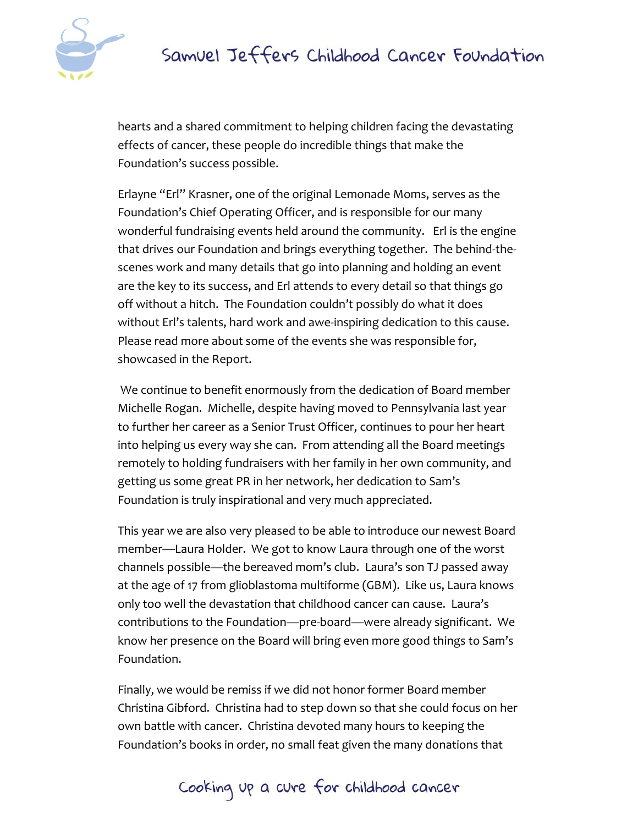

hearts and a shared commitment to helping children facing the devastating effects of cancer, these people do incredible things that make the Foundation's success possible.

Erlayne "Erl" Krasner, one of the original Lemonade Moms, serves as the Foundation's Chief Operating Officer, and is responsible for our many wonderful fundraising events held around the community. Erl is the engine that drives our Foundation and brings everything together. The behind-thescenes work and many details that go into planning and holding an event are the key to its success, and Erl attends to every detail so that things go off without a hitch. The Foundation couldn't possibly do what it does without Erl's talents, hard work and awe-inspiring dedication to this cause. Please read more about some of the events she was responsible for, showcased in the Report.

We continue to benefit enormously from the dedication of Board member Michelle Rogan. Michelle, despite having moved to Pennsylvania last year to further her career as a Senior Trust Officer, continues to pour her heart into helping us every way she can. From attending all the Board meetings remotely to holding fundraisers with her family in her own community, and getting us some great PR in her network, her dedication to Sam's Foundation is truly inspirational and very much appreciated.

This year we are also very pleased to be able to introduce our newest Board member—Laura Holder. We got to know Laura through one of the worst channels possible—the bereaved mom's club. Laura's son TJ passed away at the age of 17 from glioblastoma multiforme (GBM). Like us, Laura knows only too well the devastation that childhood cancer can cause. Laura's contributions to the Foundation—pre-board—were already significant. We know her presence on the Board will bring even more good things to Sam's Foundation.

Finally, we would be remiss if we did not honor former Board member Christina Gibford. Christina had to step down so that she could focus on her own battle with cancer. Christina devoted many hours to keeping the Foundation's books in order, no small feat given the many donations that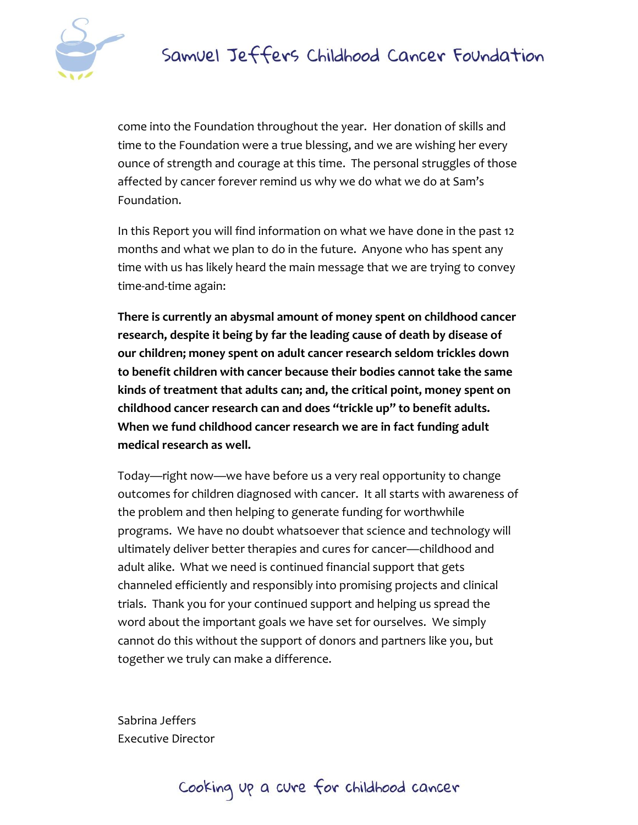

come into the Foundation throughout the year. Her donation of skills and time to the Foundation were a true blessing, and we are wishing her every ounce of strength and courage at this time. The personal struggles of those affected by cancer forever remind us why we do what we do at Sam's Foundation.

In this Report you will find information on what we have done in the past 12 months and what we plan to do in the future. Anyone who has spent any time with us has likely heard the main message that we are trying to convey time-and-time again:

**There is currently an abysmal amount of money spent on childhood cancer research, despite it being by far the leading cause of death by disease of our children; money spent on adult cancer research seldom trickles down to benefit children with cancer because their bodies cannot take the same kinds of treatment that adults can; and, the critical point, money spent on childhood cancer research can and does "trickle up" to benefit adults. When we fund childhood cancer research we are in fact funding adult medical research as well.** 

Today—right now—we have before us a very real opportunity to change outcomes for children diagnosed with cancer. It all starts with awareness of the problem and then helping to generate funding for worthwhile programs. We have no doubt whatsoever that science and technology will ultimately deliver better therapies and cures for cancer—childhood and adult alike. What we need is continued financial support that gets channeled efficiently and responsibly into promising projects and clinical trials. Thank you for your continued support and helping us spread the word about the important goals we have set for ourselves. We simply cannot do this without the support of donors and partners like you, but together we truly can make a difference.

Sabrina Jeffers Executive Director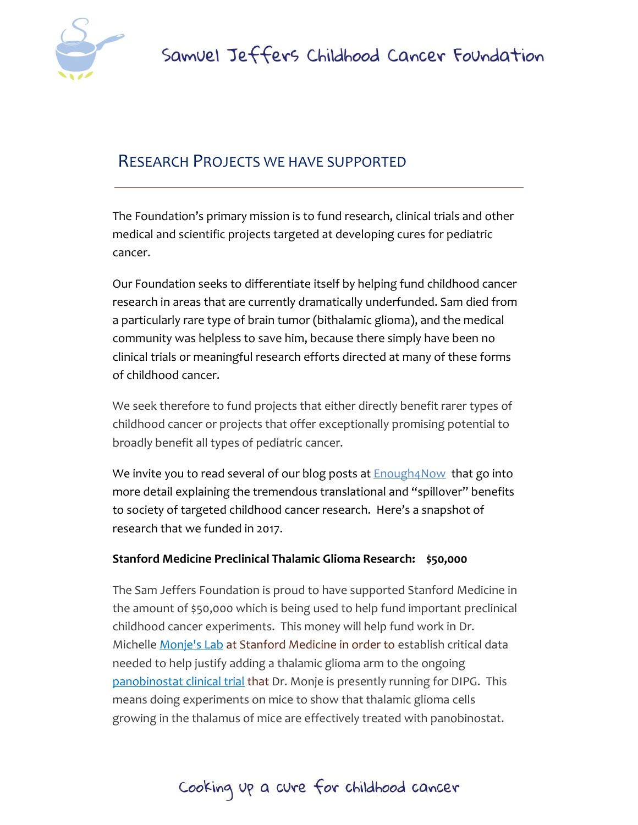

#### RESEARCH PROJECTS WE HAVE SUPPORTED

The Foundation's primary mission is to fund research, clinical trials and other medical and scientific projects targeted at developing cures for pediatric cancer.

Our Foundation seeks to differentiate itself by helping fund childhood cancer research in areas that are currently dramatically underfunded. Sam died from a particularly rare type of brain tumor (bithalamic glioma), and the medical community was helpless to save him, because there simply have been no clinical trials or meaningful research efforts directed at many of these forms of childhood cancer.

We seek therefore to fund projects that either directly benefit rarer types of childhood cancer or projects that offer exceptionally promising potential to broadly benefit all types of pediatric cancer.

We invite you to read several of our blog posts at  $Enough4Now$  that go into</u> more detail explaining the tremendous translational and "spillover" benefits to society of targeted childhood cancer research. Here's a snapshot of research that we funded in 2017.

#### **Stanford Medicine Preclinical Thalamic Glioma Research: \$50,000**

The Sam Jeffers Foundation is proud to have supported Stanford Medicine in the amount of \$50,000 which is being used to help fund important preclinical childhood cancer experiments. This money will help fund work in Dr. Michelle [Monje's Lab](https://med.stanford.edu/monje-lab.html) at Stanford Medicine in order to establish critical data needed to help justify adding a thalamic glioma arm to the ongoing [panobinostat clinical trial](http://scopeblog.stanford.edu/2015/05/04/existing-drug-shows-early-promise-against-deadly-childhood-brain-tumor/) that Dr. Monje is presently running for DIPG. This means doing experiments on mice to show that thalamic glioma cells growing in the thalamus of mice are effectively treated with panobinostat.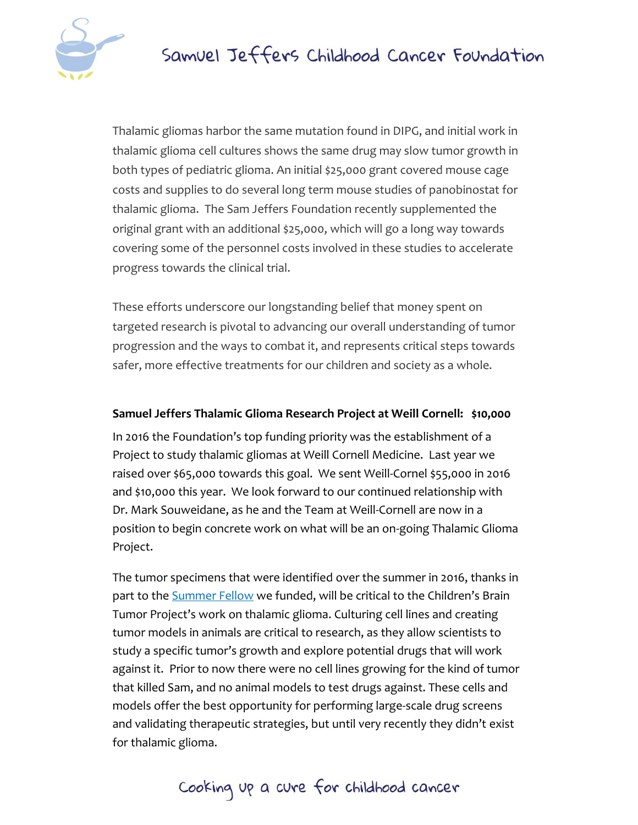

Thalamic gliomas harbor the same mutation found in DIPG, and initial work in thalamic glioma cell cultures shows the same drug may slow tumor growth in both types of pediatric glioma. An initial \$25,000 grant covered mouse cage costs and supplies to do several long term mouse studies of panobinostat for thalamic glioma. The Sam Jeffers Foundation recently supplemented the original grant with an additional \$25,000, which will go a long way towards covering some of the personnel costs involved in these studies to accelerate progress towards the clinical trial.

These efforts underscore our longstanding belief that money spent on targeted research is pivotal to advancing our overall understanding of tumor progression and the ways to combat it, and represents critical steps towards safer, more effective treatments for our children and society as a whole.

#### **Samuel Jeffers Thalamic Glioma Research Project at Weill Cornell: \$10,000**

In 2016 the Foundation's top funding priority was the establishment of a Project to study thalamic gliomas at Weill Cornell Medicine. Last year we raised over \$65,000 towards this goal. We sent Weill-Cornel \$55,000 in 2016 and \$10,000 this year. We look forward to our continued relationship with Dr. Mark Souweidane, as he and the Team at Weill-Cornell are now in a position to begin concrete work on what will be an on-going Thalamic Glioma Project.

The tumor specimens that were identified over the summer in 2016, thanks in part to the **Summer Fellow** we funded, will be critical to the Children's Brain Tumor Project's work on thalamic glioma. Culturing cell lines and creating tumor models in animals are critical to research, as they allow scientists to study a specific tumor's growth and explore potential drugs that will work against it. Prior to now there were no cell lines growing for the kind of tumor that killed Sam, and no animal models to test drugs against. These cells and models offer the best opportunity for performing large-scale drug screens and validating therapeutic strategies, but until very recently they didn't exist for thalamic glioma.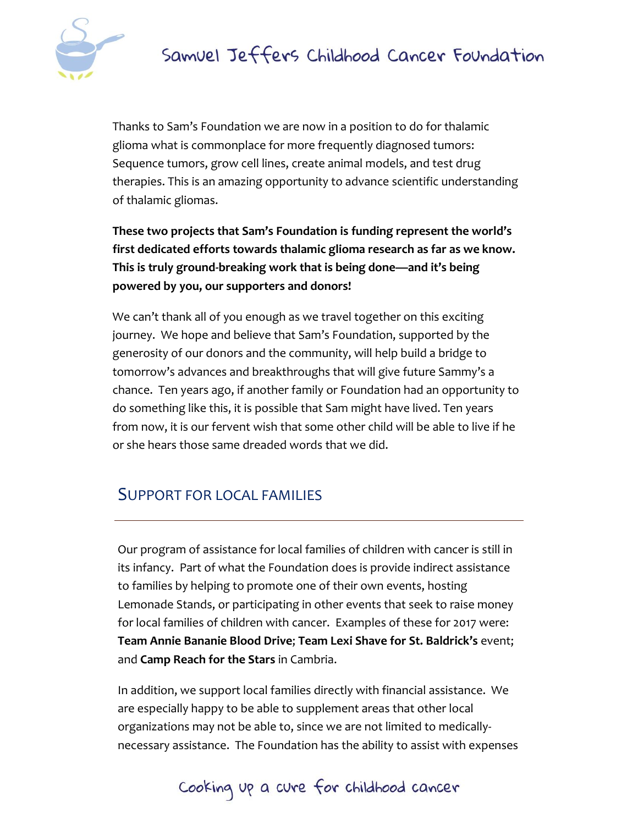

Thanks to Sam's Foundation we are now in a position to do for thalamic glioma what is commonplace for more frequently diagnosed tumors: Sequence tumors, grow cell lines, create animal models, and test drug therapies. This is an amazing opportunity to advance scientific understanding of thalamic gliomas.

**These two projects that Sam's Foundation is funding represent the world's first dedicated efforts towards thalamic glioma research as far as we know. This is truly ground-breaking work that is being done—and it's being powered by you, our supporters and donors!**

We can't thank all of you enough as we travel together on this exciting journey. We hope and believe that Sam's Foundation, supported by the generosity of our donors and the community, will help build a bridge to tomorrow's advances and breakthroughs that will give future Sammy's a chance. Ten years ago, if another family or Foundation had an opportunity to do something like this, it is possible that Sam might have lived. Ten years from now, it is our fervent wish that some other child will be able to live if he or she hears those same dreaded words that we did.

#### SUPPORT FOR LOCAL FAMILIES

Our program of assistance for local families of children with cancer is still in its infancy. Part of what the Foundation does is provide indirect assistance to families by helping to promote one of their own events, hosting Lemonade Stands, or participating in other events that seek to raise money for local families of children with cancer. Examples of these for 2017 were: **Team Annie Bananie Blood Drive**; **Team Lexi Shave for St. Baldrick's** event; and **Camp Reach for the Stars** in Cambria.

In addition, we support local families directly with financial assistance. We are especially happy to be able to supplement areas that other local organizations may not be able to, since we are not limited to medicallynecessary assistance. The Foundation has the ability to assist with expenses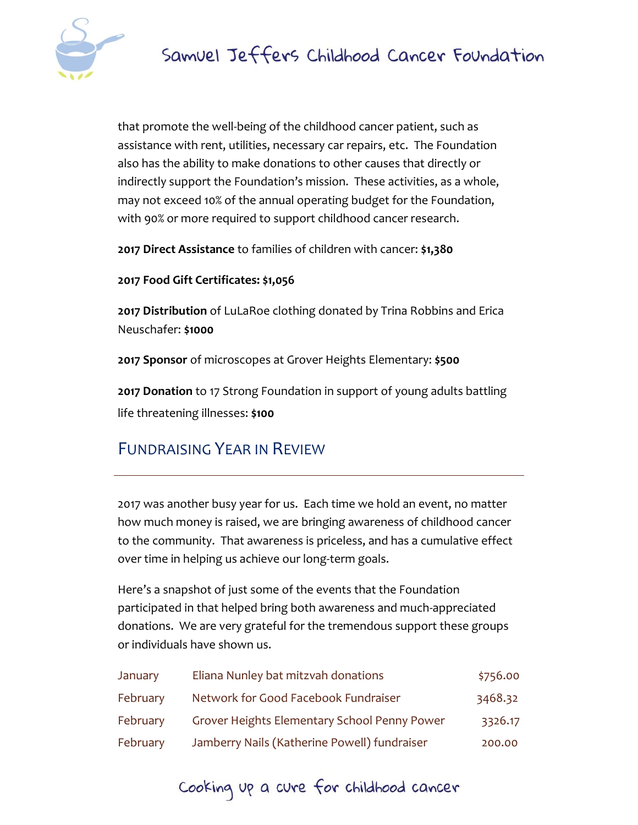

that promote the well-being of the childhood cancer patient, such as assistance with rent, utilities, necessary car repairs, etc. The Foundation also has the ability to make donations to other causes that directly or indirectly support the Foundation's mission. These activities, as a whole, may not exceed 10% of the annual operating budget for the Foundation, with 90% or more required to support childhood cancer research.

**2017 Direct Assistance** to families of children with cancer: **\$1,380**

**2017 Food Gift Certificates: \$1,056**

**2017 Distribution** of LuLaRoe clothing donated by Trina Robbins and Erica Neuschafer: **\$1000**

**2017 Sponsor** of microscopes at Grover Heights Elementary: **\$500**

**2017 Donation** to 17 Strong Foundation in support of young adults battling **life threatening illnesses: \$100** 

#### FUNDRAISING YEAR IN REVIEW

2017 was another busy year for us. Each time we hold an event, no matter how much money is raised, we are bringing awareness of childhood cancer to the community. That awareness is priceless, and has a cumulative effect over time in helping us achieve our long-term goals.

Here's a snapshot of just some of the events that the Foundation participated in that helped bring both awareness and much-appreciated donations. We are very grateful for the tremendous support these groups or individuals have shown us.

| January  | Eliana Nunley bat mitzvah donations          | \$756.00 |
|----------|----------------------------------------------|----------|
| February | Network for Good Facebook Fundraiser         | 3468.32  |
| February | Grover Heights Elementary School Penny Power | 3326.17  |
| February | Jamberry Nails (Katherine Powell) fundraiser | 200.00   |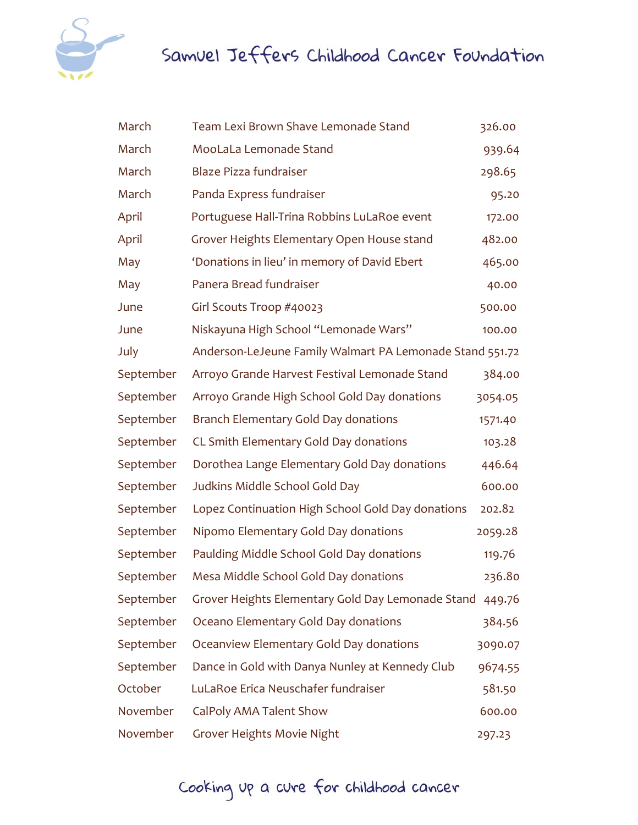

| March     | Team Lexi Brown Shave Lemonade Stand                     | 326.00  |
|-----------|----------------------------------------------------------|---------|
| March     | MooLaLa Lemonade Stand                                   | 939.64  |
| March     | Blaze Pizza fundraiser                                   | 298.65  |
| March     | Panda Express fundraiser                                 | 95.20   |
| April     | Portuguese Hall-Trina Robbins LuLaRoe event              | 172.00  |
| April     | Grover Heights Elementary Open House stand               | 482.00  |
| May       | 'Donations in lieu' in memory of David Ebert             | 465.00  |
| May       | Panera Bread fundraiser                                  | 40.00   |
| June      | Girl Scouts Troop #40023                                 | 500.00  |
| June      | Niskayuna High School "Lemonade Wars"                    | 100.00  |
| July      | Anderson-LeJeune Family Walmart PA Lemonade Stand 551.72 |         |
| September | Arroyo Grande Harvest Festival Lemonade Stand            | 384.00  |
| September | Arroyo Grande High School Gold Day donations             | 3054.05 |
| September | Branch Elementary Gold Day donations                     | 1571.40 |
| September | CL Smith Elementary Gold Day donations                   | 103.28  |
| September | Dorothea Lange Elementary Gold Day donations             | 446.64  |
| September | Judkins Middle School Gold Day                           | 600.00  |
| September | Lopez Continuation High School Gold Day donations        | 202.82  |
| September | Nipomo Elementary Gold Day donations                     | 2059.28 |
| September | Paulding Middle School Gold Day donations                | 119.76  |
| September | Mesa Middle School Gold Day donations                    | 236.80  |
| September | Grover Heights Elementary Gold Day Lemonade Stand 449.76 |         |
| September | Oceano Elementary Gold Day donations                     | 384.56  |
| September | Oceanview Elementary Gold Day donations                  | 3090.07 |
| September | Dance in Gold with Danya Nunley at Kennedy Club          | 9674.55 |
| October   | LuLaRoe Erica Neuschafer fundraiser                      | 581.50  |
| November  | <b>CalPoly AMA Talent Show</b>                           | 600.00  |
| November  | <b>Grover Heights Movie Night</b>                        | 297.23  |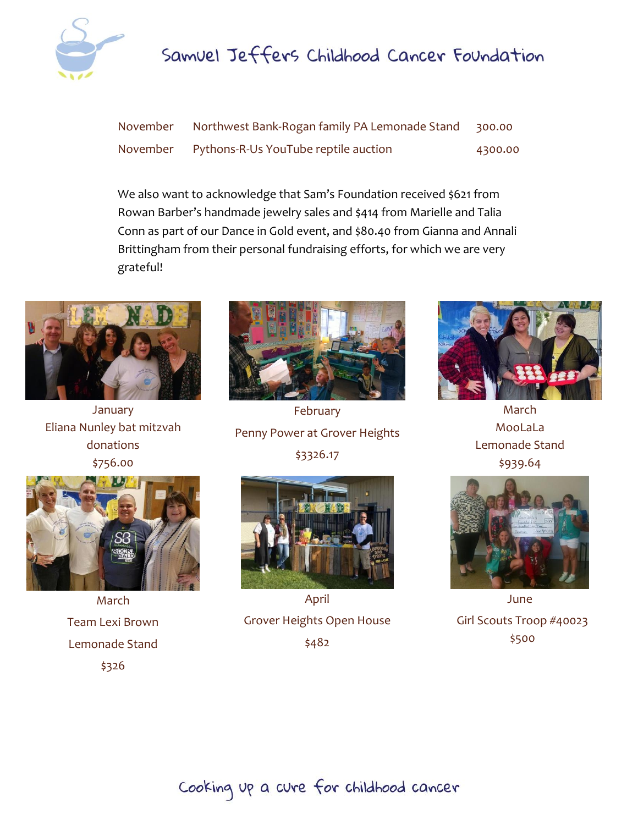

| November | Northwest Bank-Rogan family PA Lemonade Stand 300.00 |         |
|----------|------------------------------------------------------|---------|
| November | Pythons-R-Us YouTube reptile auction                 | 4300.00 |

We also want to acknowledge that Sam's Foundation received \$621 from Rowan Barber's handmade jewelry sales and \$414 from Marielle and Talia Conn as part of our Dance in Gold event, and \$80.40 from Gianna and Annali Brittingham from their personal fundraising efforts, for which we are very grateful!



**January** Eliana Nunley bat mitzvah donations \$756.00



February Penny Power at Grover Heights \$3326.17



March Team Lexi Brown Lemonade Stand \$326



April Grover Heights Open House \$482



March MooLaLa Lemonade Stand \$939.64



June

Girl Scouts Troop #40023 \$500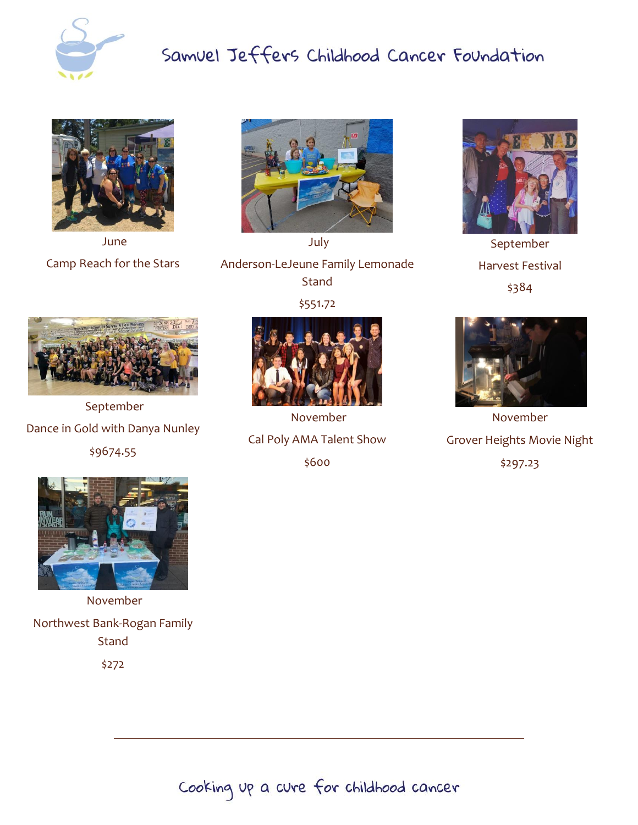



June Camp Reach for the Stars



Anderson-LeJeune Family Lemonade **Stand** 





September Dance in Gold with Danya Nunley \$9674.55



November Cal Poly AMA Talent Show

\$600



September Harvest Festival \$384



November Grover Heights Movie Night \$297.23



November Northwest Bank-Rogan Family **Stand** \$272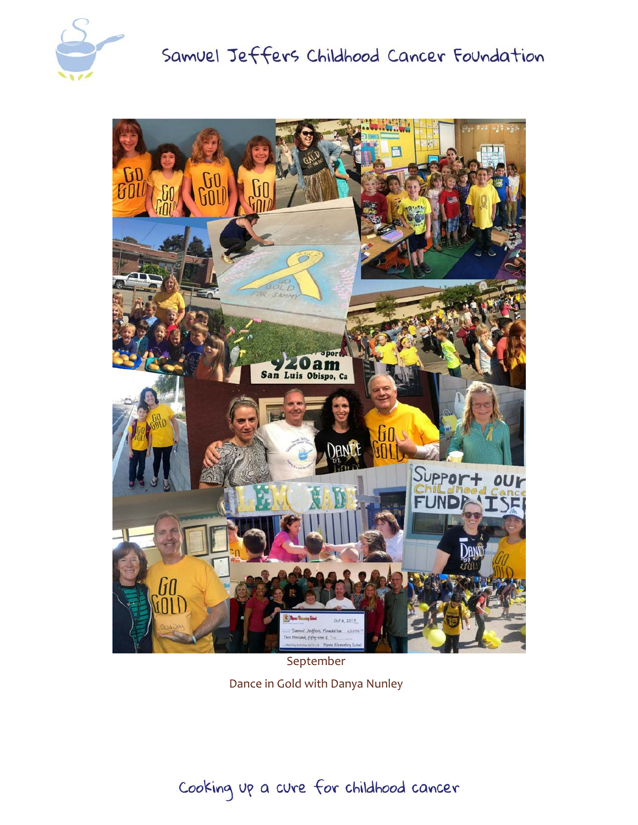



September Dance in Gold with Danya Nunley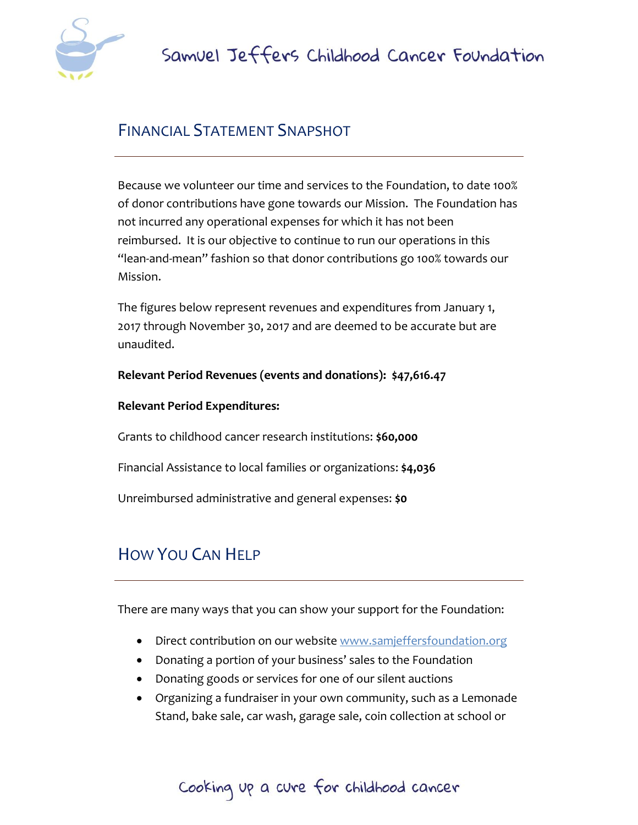

### FINANCIAL STATEMENT SNAPSHOT

Because we volunteer our time and services to the Foundation, to date 100% of donor contributions have gone towards our Mission. The Foundation has not incurred any operational expenses for which it has not been reimbursed. It is our objective to continue to run our operations in this "lean-and-mean" fashion so that donor contributions go 100% towards our Mission.

The figures below represent revenues and expenditures from January 1, 2017 through November 30, 2017 and are deemed to be accurate but are unaudited.

#### **Relevant Period Revenues (events and donations): \$47,616.47**

#### **Relevant Period Expenditures:**

Grants to childhood cancer research institutions: **\$60,000**

Financial Assistance to local families or organizations: **\$4,036**

Unreimbursed administrative and general expenses: **\$0**

#### HOW YOU CAN HELP

There are many ways that you can show your support for the Foundation:

- Direct contribution on our website [www.samjeffersfoundation.org](http://www.samjeffersfoundation.org/)
- Donating a portion of your business' sales to the Foundation
- Donating goods or services for one of our silent auctions
- Organizing a fundraiser in your own community, such as a Lemonade Stand, bake sale, car wash, garage sale, coin collection at school or